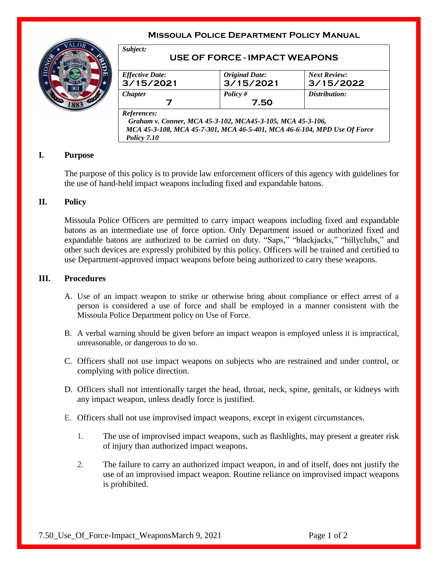# **Missoula Police Department Policy Manual**



| <b>Effective Date:</b> | <b>Original Date:</b> | <b>Next Review:</b> |
|------------------------|-----------------------|---------------------|
| 3/15/2021              | 3/15/2021             | 3/15/2022           |
| <b>Chapter</b>         | Policy $#$            | Distribution:       |
| 7                      | 7.50                  |                     |
| References:            |                       |                     |

## **I. Purpose**

The purpose of this policy is to provide law enforcement officers of this agency with guidelines for the use of hand-held impact weapons including fixed and expandable batons.

## **II. Policy**

Missoula Police Officers are permitted to carry impact weapons including fixed and expandable batons as an intermediate use of force option. Only Department issued or authorized fixed and expandable batons are authorized to be carried on duty. "Saps," "blackjacks," "billyclubs," and other such devices are expressly prohibited by this policy. Officers will be trained and certified to use Department-approved impact weapons before being authorized to carry these weapons.

#### **III. Procedures**

- A. Use of an impact weapon to strike or otherwise bring about compliance or effect arrest of a person is considered a use of force and shall be employed in a manner consistent with the Missoula Police Department policy on Use of Force.
- B. A verbal warning should be given before an impact weapon is employed unless it is impractical, unreasonable, or dangerous to do so.
- C. Officers shall not use impact weapons on subjects who are restrained and under control, or complying with police direction.
- D. Officers shall not intentionally target the head, throat, neck, spine, genitals, or kidneys with any impact weapon, unless deadly force is justified.
- E. Officers shall not use improvised impact weapons, except in exigent circumstances.
	- 1. The use of improvised impact weapons, such as flashlights, may present a greater risk of injury than authorized impact weapons.
	- 2. The failure to carry an authorized impact weapon, in and of itself, does not justify the use of an improvised impact weapon. Routine reliance on improvised impact weapons is prohibited.